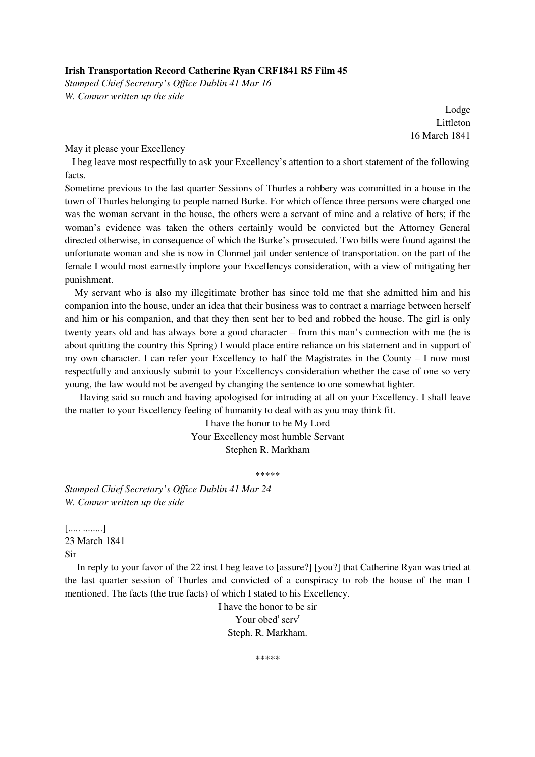## **Irish Transportation Record Catherine Ryan CRF1841 R5 Film 45**

*Stamped Chief Secretary's Office Dublin 41 Mar 16 W. Connor written up the side* 

> Lodge Littleton 16 March 1841

May it please your Excellency

 I beg leave most respectfully to ask your Excellency's attention to a short statement of the following facts.

Sometime previous to the last quarter Sessions of Thurles a robbery was committed in a house in the town of Thurles belonging to people named Burke. For which offence three persons were charged one was the woman servant in the house, the others were a servant of mine and a relative of hers; if the woman's evidence was taken the others certainly would be convicted but the Attorney General directed otherwise, in consequence of which the Burke's prosecuted. Two bills were found against the unfortunate woman and she is now in Clonmel jail under sentence of transportation. on the part of the female I would most earnestly implore your Excellencys consideration, with a view of mitigating her punishment.

 My servant who is also my illegitimate brother has since told me that she admitted him and his companion into the house, under an idea that their business was to contract a marriage between herself and him or his companion, and that they then sent her to bed and robbed the house. The girl is only twenty years old and has always bore a good character – from this man's connection with me (he is about quitting the country this Spring) I would place entire reliance on his statement and in support of my own character. I can refer your Excellency to half the Magistrates in the County – I now most respectfully and anxiously submit to your Excellencys consideration whether the case of one so very young, the law would not be avenged by changing the sentence to one somewhat lighter.

 Having said so much and having apologised for intruding at all on your Excellency. I shall leave the matter to your Excellency feeling of humanity to deal with as you may think fit.

> I have the honor to be My Lord Your Excellency most humble Servant Stephen R. Markham

> > \*\*\*\*\*

*Stamped Chief Secretary's Office Dublin 41 Mar 24 W. Connor written up the side* 

[..... ........] 23 March 1841 Sir

 In reply to your favor of the 22 inst I beg leave to [assure?] [you?] that Catherine Ryan was tried at the last quarter session of Thurles and convicted of a conspiracy to rob the house of the man I mentioned. The facts (the true facts) of which I stated to his Excellency.

> I have the honor to be sir Your obed<sup>t</sup> serv<sup>t</sup> Steph. R. Markham.

> > \*\*\*\*\*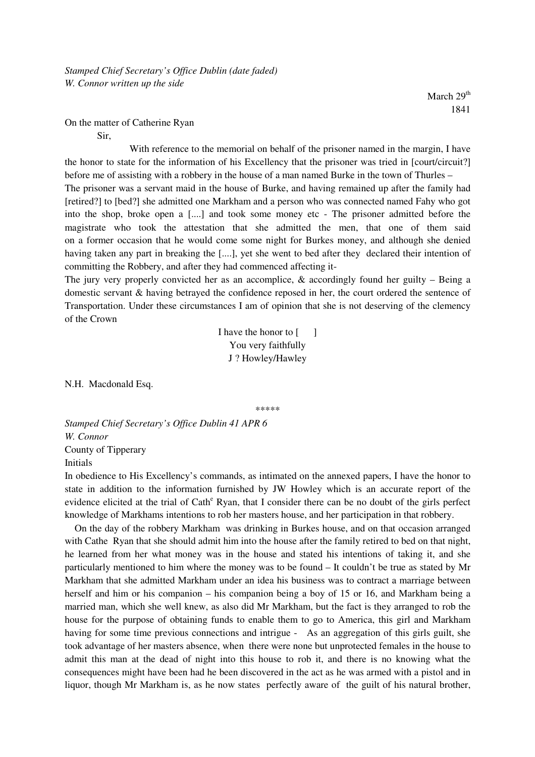March 29<sup>th</sup> 1841

On the matter of Catherine Ryan

Sir,

 With reference to the memorial on behalf of the prisoner named in the margin, I have the honor to state for the information of his Excellency that the prisoner was tried in [court/circuit?] before me of assisting with a robbery in the house of a man named Burke in the town of Thurles – The prisoner was a servant maid in the house of Burke, and having remained up after the family had [retired?] to [bed?] she admitted one Markham and a person who was connected named Fahy who got into the shop, broke open a [....] and took some money etc - The prisoner admitted before the magistrate who took the attestation that she admitted the men, that one of them said on a former occasion that he would come some night for Burkes money, and although she denied having taken any part in breaking the [....], yet she went to bed after they declared their intention of committing the Robbery, and after they had commenced affecting it-

The jury very properly convicted her as an accomplice,  $\&$  accordingly found her guilty – Being a domestic servant & having betrayed the confidence reposed in her, the court ordered the sentence of Transportation. Under these circumstances I am of opinion that she is not deserving of the clemency of the Crown

> I have the honor to  $\begin{bmatrix} 1 \end{bmatrix}$ You very faithfully J ? Howley/Hawley

N.H. Macdonald Esq.

\*\*\*\*\*

*Stamped Chief Secretary's Office Dublin 41 APR 6 W. Connor*  County of Tipperary Initials

In obedience to His Excellency's commands, as intimated on the annexed papers, I have the honor to state in addition to the information furnished by JW Howley which is an accurate report of the evidence elicited at the trial of Cath<sup>e</sup> Ryan, that I consider there can be no doubt of the girls perfect knowledge of Markhams intentions to rob her masters house, and her participation in that robbery.

 On the day of the robbery Markham was drinking in Burkes house, and on that occasion arranged with Cathe Ryan that she should admit him into the house after the family retired to bed on that night, he learned from her what money was in the house and stated his intentions of taking it, and she particularly mentioned to him where the money was to be found – It couldn't be true as stated by Mr Markham that she admitted Markham under an idea his business was to contract a marriage between herself and him or his companion – his companion being a boy of 15 or 16, and Markham being a married man, which she well knew, as also did Mr Markham, but the fact is they arranged to rob the house for the purpose of obtaining funds to enable them to go to America, this girl and Markham having for some time previous connections and intrigue - As an aggregation of this girls guilt, she took advantage of her masters absence, when there were none but unprotected females in the house to admit this man at the dead of night into this house to rob it, and there is no knowing what the consequences might have been had he been discovered in the act as he was armed with a pistol and in liquor, though Mr Markham is, as he now states perfectly aware of the guilt of his natural brother,